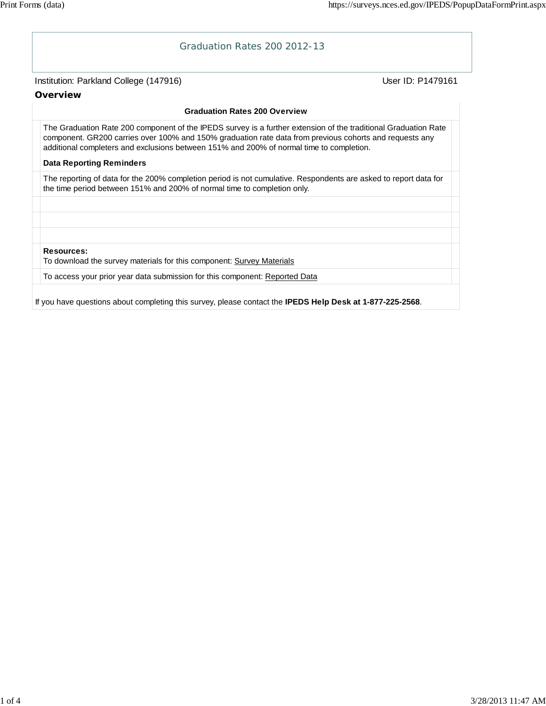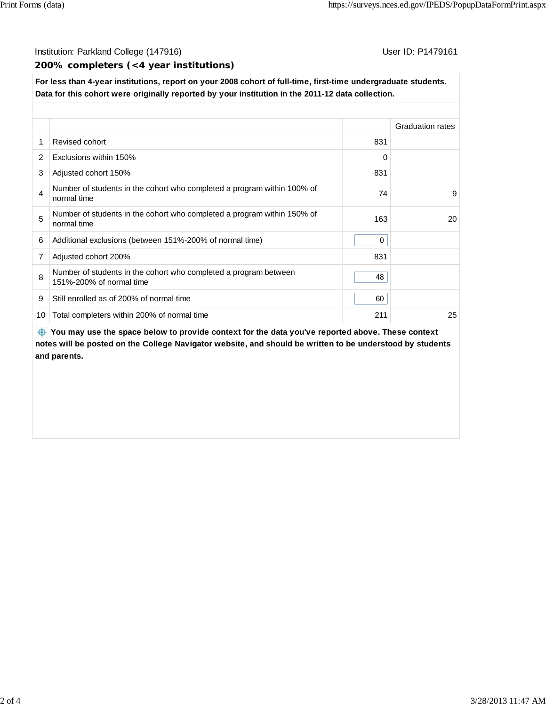### Institution: Parkland College (147916) **Institution: Parkland College (147916**)

#### **200% completers (<4 year institutions)**

**For less than 4-year institutions, report on your 2008 cohort of full-time, first-time undergraduate students. Data for this cohort were originally reported by your institution in the 2011-12 data collection.**

|    |                                                                                              |              | <b>Graduation rates</b> |  |  |  |
|----|----------------------------------------------------------------------------------------------|--------------|-------------------------|--|--|--|
|    | Revised cohort                                                                               | 831          |                         |  |  |  |
| 2  | Exclusions within 150%                                                                       | 0            |                         |  |  |  |
| 3  | Adjusted cohort 150%                                                                         | 831          |                         |  |  |  |
| 4  | Number of students in the cohort who completed a program within 100% of<br>normal time       | 74           | 9                       |  |  |  |
| 5  | Number of students in the cohort who completed a program within 150% of<br>normal time       | 163          | 20                      |  |  |  |
| 6  | Additional exclusions (between 151%-200% of normal time)                                     | $\mathbf{0}$ |                         |  |  |  |
| 7  | Adjusted cohort 200%                                                                         | 831          |                         |  |  |  |
| 8  | Number of students in the cohort who completed a program between<br>151%-200% of normal time | 48           |                         |  |  |  |
| 9  | Still enrolled as of 200% of normal time                                                     | 60           |                         |  |  |  |
| 10 | Total completers within 200% of normal time                                                  | 211          | 25                      |  |  |  |

 **You may use the space below to provide context for the data you've reported above. These context notes will be posted on the College Navigator website, and should be written to be understood by students and parents.**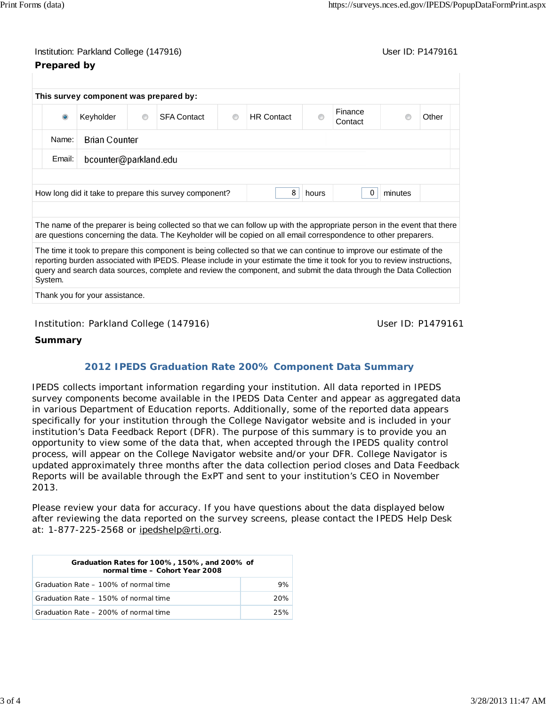# Institution: Parkland College (147916) November 2012 12: Physics User ID: P1479161 **Prepared by**

| $\bullet$ | Keyholder             | $\circledcirc$ | <b>SFA Contact</b> | $\circ$ | <b>HR Contact</b> | ◉ | Finance<br>Contact |  | Other |
|-----------|-----------------------|----------------|--------------------|---------|-------------------|---|--------------------|--|-------|
| Name:     | <b>Brian Counter</b>  |                |                    |         |                   |   |                    |  |       |
| Email:    | bcounter@parkland.edu |                |                    |         |                   |   |                    |  |       |

The name of the preparer is being collected so that we can follow up with the appropriate person in the event that there are questions concerning the data. The Keyholder will be copied on all email correspondence to other preparers.

The time it took to prepare this component is being collected so that we can continue to improve our estimate of the reporting burden associated with IPEDS. Please include in your estimate the time it took for you to review instructions, query and search data sources, complete and review the component, and submit the data through the Data Collection System.

Thank you for your assistance.

## Institution: Parkland College (147916) Noting the Muslim User ID: P1479161

## **Summary**

# **2012 IPEDS Graduation Rate 200% Component Data Summary**

IPEDS collects important information regarding your institution. All data reported in IPEDS survey components become available in the IPEDS Data Center and appear as aggregated data in various Department of Education reports. Additionally, some of the reported data appears specifically for your institution through the College Navigator website and is included in your institution's Data Feedback Report (DFR). The purpose of this summary is to provide you an opportunity to view some of the data that, when accepted through the IPEDS quality control process, will appear on the College Navigator website and/or your DFR. College Navigator is updated approximately three months after the data collection period closes and Data Feedback Reports will be available through the ExPT and sent to your institution's CEO in November 2013.

Please review your data for accuracy. If you have questions about the data displayed below after reviewing the data reported on the survey screens, please contact the IPEDS Help Desk at: 1-877-225-2568 or ipedshelp@rti.org.

| Graduation Rates for 100%, 150%, and 200% of<br>normal time - Cohort Year 2008 |     |  |  |  |  |
|--------------------------------------------------------------------------------|-----|--|--|--|--|
| Graduation Rate – 100% of normal time                                          | 9%  |  |  |  |  |
| Graduation Rate - 150% of normal time                                          | 20% |  |  |  |  |
| Graduation Rate – 200% of normal time                                          | 25% |  |  |  |  |